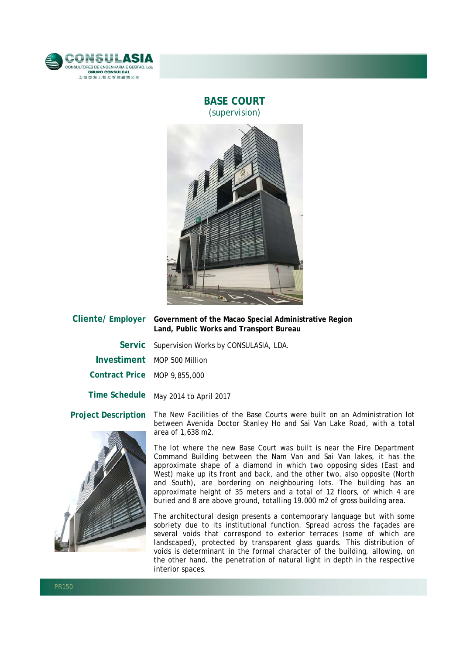

## **BASE COURT** (supervision)



| Cliente/ Employer            | Government of the Macao Special Administrative Region<br>Land, Public Works and Transport Bureau                                                   |
|------------------------------|----------------------------------------------------------------------------------------------------------------------------------------------------|
|                              | Servic Supervision Works by CONSULASIA, LDA.                                                                                                       |
|                              | Investiment MOP 500 Million                                                                                                                        |
| Contract Price MOP 9,855,000 |                                                                                                                                                    |
| <b>Time Schedule</b>         | May 2014 to April 2017                                                                                                                             |
| <b>Project Description</b>   | The New Facilities of the Base Courts were built on an Administration lot<br>between Avenida Doctor Stanley Ho and Sai Van Lake Road, with a total |



area of 1,638 m2. The lot where the new Base Court was built is near the Fire Department Command Building between the Nam Van and Sai Van lakes, it has the

approximate shape of a diamond in which two opposing sides (East and West) make up its front and back, and the other two, also opposite (North and South), are bordering on neighbouring lots. The building has an approximate height of 35 meters and a total of 12 floors, of which 4 are buried and 8 are above ground, totalling 19.000 m2 of gross building area.

The architectural design presents a contemporary language but with some sobriety due to its institutional function. Spread across the facades are several voids that correspond to exterior terraces (some of which are landscaped), protected by transparent glass guards. This distribution of voids is determinant in the formal character of the building, allowing, on the other hand, the penetration of natural light in depth in the respective interior spaces.

l